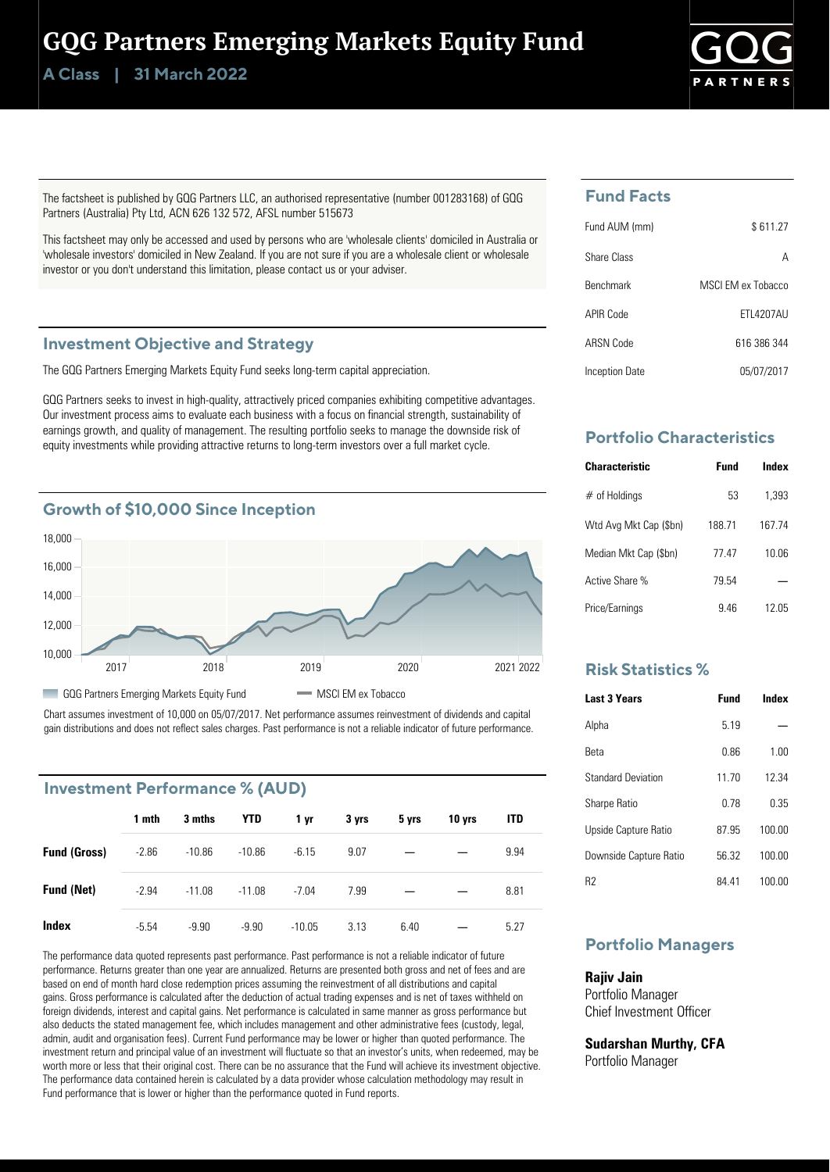# GQG Partners Emerging Markets Equity Fund

**Class | A 31 March 2022**



The factsheet is published by GQG Partners LLC, an authorised representative (number 001283168) of GQG Partners (Australia) Pty Ltd, ACN 626 132 572, AFSL number 515673

This factsheet may only be accessed and used by persons who are 'wholesale clients' domiciled in Australia or 'wholesale investors' domiciled in New Zealand. If you are not sure if you are a wholesale client or wholesale investor or you don't understand this limitation, please contact us or your adviser.

### **Investment Objective and Strategy**

The GQG Partners Emerging Markets Equity Fund seeks long-term capital appreciation.

GQG Partners seeks to invest in high-quality, attractively priced companies exhibiting competitive advantages. Our investment process aims to evaluate each business with a focus on financial strength, sustainability of earnings growth, and quality of management. The resulting portfolio seeks to manage the downside risk of equity investments while providing attractive returns to long-term investors over a full market cycle.



Chart assumes investment of 10,000 on 05/07/2017. Net performance assumes reinvestment of dividends and capital gain distributions and does not reflect sales charges. Past performance is not a reliable indicator of future performance.

# **Investment Performance % (AUD)**

|                     | 1 mth   | 3 mths   | YTD      | 1 yr     | 3 yrs | 5 yrs | 10 yrs | <b>ITD</b> |
|---------------------|---------|----------|----------|----------|-------|-------|--------|------------|
| <b>Fund (Gross)</b> | $-2.86$ | $-10.86$ | $-10.86$ | $-6.15$  | 9.07  |       |        | 9.94       |
| <b>Fund (Net)</b>   | $-2.94$ | $-11.08$ | $-11.08$ | $-7.04$  | 7.99  |       |        | 8.81       |
| Index               | $-5.54$ | $-9.90$  | $-9.90$  | $-10.05$ | 3.13  | 6.40  |        | 5.27       |

The performance data quoted represents past performance. Past performance is not a reliable indicator of future performance. Returns greater than one year are annualized. Returns are presented both gross and net of fees and are based on end of month hard close redemption prices assuming the reinvestment of all distributions and capital gains. Gross performance is calculated after the deduction of actual trading expenses and is net of taxes withheld on foreign dividends, interest and capital gains. Net performance is calculated in same manner as gross performance but also deducts the stated management fee, which includes management and other administrative fees (custody, legal, admin, audit and organisation fees). Current Fund performance may be lower or higher than quoted performance. The investment return and principal value of an investment will fluctuate so that an investor's units, when redeemed, may be worth more or less that their original cost. There can be no assurance that the Fund will achieve its investment objective. The performance data contained herein is calculated by a data provider whose calculation methodology may result in Fund performance that is lower or higher than the performance quoted in Fund reports.

# **Fund Facts**

| Fund AUM (mm)    | \$611.27          |
|------------------|-------------------|
| Share Class      | А                 |
| <b>Benchmark</b> | MSCLEM ex Tobacco |
| APIR Code        | <b>FTI 4207AU</b> |
| ARSN Code        | 616 386 344       |
| Inception Date   | 05/07/2017        |

# **Portfolio Characteristics**

| Characteristic         | Fund   | Index  |
|------------------------|--------|--------|
| $#$ of Holdings        | 53     | 1.393  |
| Wtd Avg Mkt Cap (\$bn) | 188.71 | 167 74 |
| Median Mkt Cap (\$bn)  | 77.47  | 10.06  |
| Active Share %         | 79.54  |        |
| Price/Earnings         | 946    | 12 05  |

## **Risk Statistics %**

| <b>Last 3 Years</b>       | Fund  | Index  |
|---------------------------|-------|--------|
| Alpha                     | 5 1 9 |        |
| Reta                      | 0.86  | 1.00   |
| <b>Standard Deviation</b> | 11 70 | 12 34  |
| <b>Sharpe Ratio</b>       | በ 78  | 0.35   |
| Upside Capture Ratio      | 8795  | 100.00 |
| Downside Capture Ratio    | 56.32 | 100.00 |
| R2                        | 84 41 | 100.00 |

# **Portfolio Managers**

### **Rajiv Jain**

Portfolio Manager Chief Investment Officer

**Sudarshan Murthy, CFA** Portfolio Manager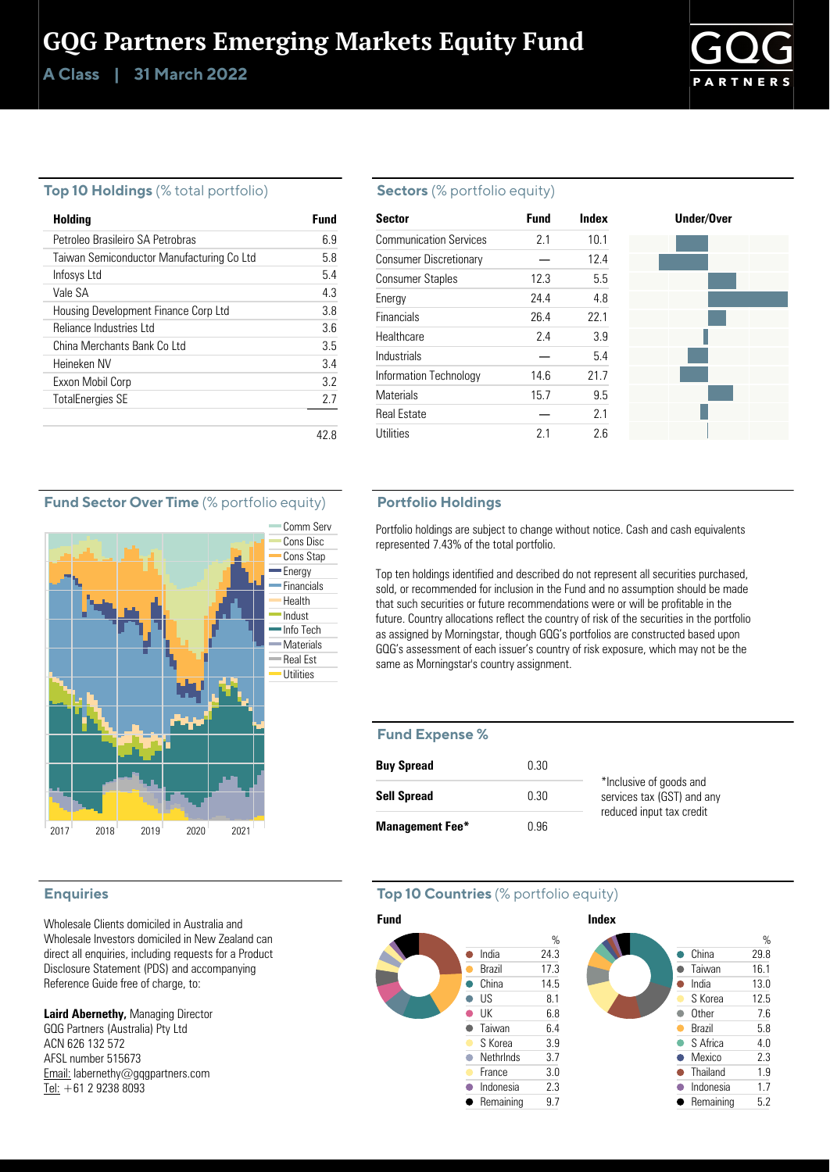# GQG Partners Emerging Markets Equity Fund

**Class | A 31 March 2022**



### **Top 10 Holdings** (% total portfolio)

| Holding                                   | Fund |
|-------------------------------------------|------|
| Petroleo Brasileiro SA Petrobras          | 69   |
| Taiwan Semiconductor Manufacturing Co Ltd | 58   |
| Infosys Ltd                               | 54   |
| Vale SA                                   | 43   |
| Housing Development Finance Corp Ltd      | 38   |
| Reliance Industries Ltd                   | 36   |
| China Merchants Bank Colltd               | 35   |
| Heineken NV                               | 34   |
| Exxon Mobil Corp                          | 32   |
| <b>TotalEnergies SE</b>                   | 27   |
|                                           |      |

### **Sectors** (% portfolio equity)

| <b>Sector</b>                 | <b>Fund</b> | Index | Under/Over |
|-------------------------------|-------------|-------|------------|
| <b>Communication Services</b> | 2.1         | 10.1  |            |
| <b>Consumer Discretionary</b> |             | 12.4  |            |
| <b>Consumer Staples</b>       | 12.3        | 5.5   |            |
| Energy                        | 24.4        | 4.8   |            |
| <b>Financials</b>             | 26.4        | 22.1  |            |
| Healthcare                    | 2.4         | 3.9   |            |
| Industrials                   |             | 5.4   |            |
| Information Technology        | 14.6        | 21.7  |            |
| <b>Materials</b>              | 15.7        | 9.5   |            |
| <b>Real Estate</b>            |             | 2.1   |            |
| Utilities                     | 2.1         | 2.6   |            |

## **Fund Sector Over Time** (% portfolio equity)



## **Enquiries**

Wholesale Clients domiciled in Australia and Wholesale Investors domiciled in New Zealand can direct all enquiries, including requests for a Product Disclosure Statement (PDS) and accompanying Reference Guide free of charge, to:

**Laird Abernethy,** Managing Director GQG Partners (Australia) Pty Ltd ACN 626 132 572 AFSL number 515673 Email: labernethy@gqgpartners.com Tel: +61 2 9238 8093

### **Portfolio Holdings**

Portfolio holdings are subject to change without notice. Cash and cash equivalents represented 7.43% of the total portfolio.

Top ten holdings identified and described do not represent all securities purchased, sold, or recommended for inclusion in the Fund and no assumption should be made that such securities or future recommendations were or will be profitable in the future. Country allocations reflect the country of risk of the securities in the portfolio as assigned by Morningstar, though GQG's portfolios are constructed based upon GQG's assessment of each issuer's country of risk exposure, which may not be the same as Morningstar's country assignment.

#### **Fund Expense %**

| <b>Buy Spread</b>      | 0.30 |                                                       |
|------------------------|------|-------------------------------------------------------|
| <b>Sell Spread</b>     | 0.30 | *Inclusive of goods and<br>services tax (GST) and any |
| <b>Management Fee*</b> | በ 96 | reduced input tax credit                              |

## **Top 10 Countries** (% portfolio equity)